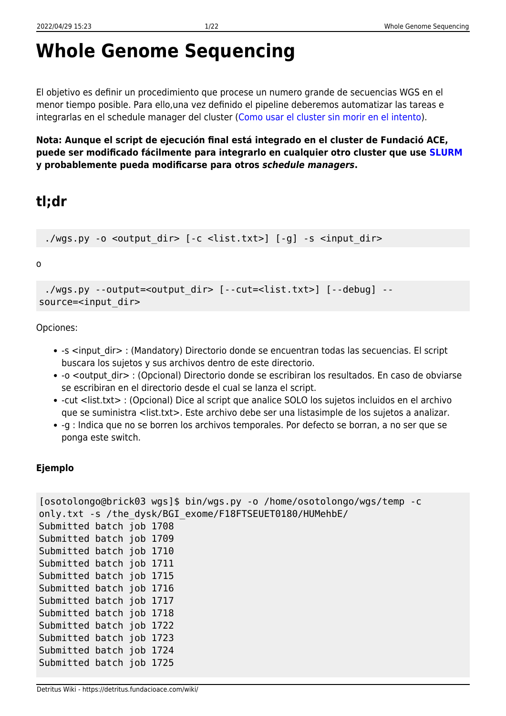# **Whole Genome Sequencing**

El objetivo es definir un procedimiento que procese un numero grande de secuencias WGS en el menor tiempo posible. Para ello,una vez definido el pipeline deberemos automatizar las tareas e integrarlas en el schedule manager del cluster ([Como usar el cluster sin morir en el intento\)](https://detritus.fundacioace.com/wiki/doku.php?id=cluster).

**Nota: Aunque el script de ejecución final está integrado en el cluster de Fundació ACE, puede ser modificado fácilmente para integrarlo en cualquier otro cluster que use [SLURM](https://slurm.schedmd.com/) y probablemente pueda modificarse para otros** *schedule managers***.**

## **tl;dr**

./wgs.py -o <output dir>  $[-c \text{~dist.txt}>]$   $[-g]$  -s <input dir>

o

```
./wgs.py --output=<output dir> [--cut=<list.txt>] [--debug] --
source=<input dir>
```
Opciones:

- -s <input dir> : (Mandatory) Directorio donde se encuentran todas las secuencias. El script buscara los sujetos y sus archivos dentro de este directorio.
- -o <output dir> : (Opcional) Directorio donde se escribiran los resultados. En caso de obviarse se escribiran en el directorio desde el cual se lanza el script.
- -cut <list.txt> : (Opcional) Dice al script que analice SOLO los sujetos incluidos en el archivo que se suministra <list.txt>. Este archivo debe ser una listasimple de los sujetos a analizar.
- -g : Indica que no se borren los archivos temporales. Por defecto se borran, a no ser que se ponga este switch.

### **Ejemplo**

```
[osotolongo@brick03 wgs]$ bin/wgs.py -o /home/osotolongo/wgs/temp -c
only.txt -s /the dysk/BGI exome/F18FTSEUET0180/HUMehbE/
Submitted batch job 1708
Submitted batch job 1709
Submitted batch job 1710
Submitted batch job 1711
Submitted batch job 1715
Submitted batch job 1716
Submitted batch job 1717
Submitted batch job 1718
Submitted batch job 1722
Submitted batch job 1723
Submitted batch job 1724
Submitted batch job 1725
```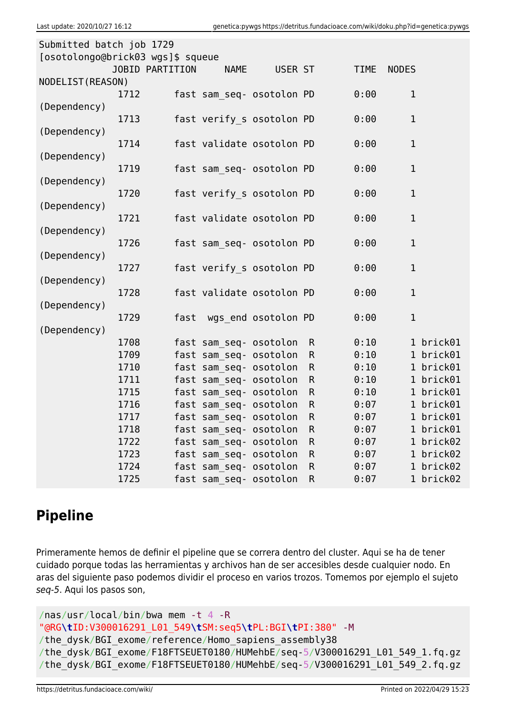| Submitted batch job 1729          |                        |                        |                           |              |             |              |  |
|-----------------------------------|------------------------|------------------------|---------------------------|--------------|-------------|--------------|--|
| [osotolongo@brick03 wgs]\$ squeue |                        |                        |                           |              |             |              |  |
|                                   | <b>JOBID PARTITION</b> | <b>NAME</b>            | USER ST                   |              | <b>TIME</b> | <b>NODES</b> |  |
| NODELIST (REASON)                 |                        |                        |                           |              |             |              |  |
|                                   | 1712                   |                        | fast sam seq- osotolon PD |              | 0:00        | $\mathbf 1$  |  |
| (Dependency)                      |                        |                        |                           |              |             |              |  |
| (Dependency)                      | 1713                   |                        | fast verify s osotolon PD |              | 0:00        | $\mathbf 1$  |  |
|                                   | 1714                   |                        | fast validate osotolon PD |              | 0:00        | $\mathbf 1$  |  |
| (Dependency)                      |                        |                        |                           |              |             |              |  |
|                                   | 1719                   |                        | fast sam seq- osotolon PD |              | 0:00        | $\mathbf{1}$ |  |
| (Dependency)                      |                        |                        |                           |              |             |              |  |
|                                   | 1720                   |                        | fast verify s osotolon PD |              | 0:00        | $\mathbf 1$  |  |
| (Dependency)                      |                        |                        |                           |              |             |              |  |
|                                   | 1721                   |                        | fast validate osotolon PD |              | 0:00        | $\mathbf 1$  |  |
| (Dependency)                      |                        |                        |                           |              |             |              |  |
|                                   | 1726                   |                        | fast sam seq- osotolon PD |              | 0:00        | $\mathbf{1}$ |  |
| (Dependency)                      |                        |                        |                           |              |             |              |  |
|                                   | 1727                   |                        | fast verify s osotolon PD |              | 0:00        | $\mathbf{1}$ |  |
| (Dependency)                      |                        |                        |                           |              |             |              |  |
|                                   | 1728                   |                        | fast validate osotolon PD |              | 0:00        | $\mathbf{1}$ |  |
| (Dependency)                      | 1729                   |                        | fast wgs end osotolon PD  |              | 0:00        | $\mathbf{1}$ |  |
| (Dependency)                      |                        |                        |                           |              |             |              |  |
|                                   | 1708                   | fast sam seq- osotolon |                           | $\mathsf{R}$ | 0:10        | 1 brick01    |  |
|                                   | 1709                   | fast sam seq- osotolon |                           | $\mathsf{R}$ | 0:10        | 1 brick01    |  |
|                                   | 1710                   | fast sam_seq- osotolon |                           | $\mathsf{R}$ | 0:10        | 1 brick01    |  |
|                                   | 1711                   | fast sam seq- osotolon |                           | $\mathsf{R}$ | 0:10        | 1 brick01    |  |
|                                   | 1715                   | fast sam seq- osotolon |                           | $\mathsf{R}$ | 0:10        | 1 brick01    |  |
|                                   | 1716                   | fast sam seq- osotolon |                           | $\mathsf{R}$ | 0:07        | 1 brick01    |  |
|                                   | 1717                   | fast sam_seq- osotolon |                           | R            | 0:07        | 1 brick01    |  |
|                                   | 1718                   | fast sam seq- osotolon |                           | $\mathsf{R}$ | 0:07        | 1 brick01    |  |
|                                   | 1722                   | fast sam seq- osotolon |                           | $\mathsf R$  | 0:07        | 1 brick02    |  |
|                                   | 1723                   | fast sam seq- osotolon |                           | $\mathsf R$  | 0:07        | 1 brick02    |  |
|                                   | 1724                   | fast sam seq- osotolon |                           | $\mathsf R$  | 0:07        | 1 brick02    |  |
|                                   | 1725                   | fast sam_seq- osotolon |                           | $\mathsf{R}$ | 0:07        | 1 brick02    |  |

## **Pipeline**

Primeramente hemos de definir el pipeline que se correra dentro del cluster. Aqui se ha de tener cuidado porque todas las herramientas y archivos han de ser accesibles desde cualquier nodo. En aras del siguiente paso podemos dividir el proceso en varios trozos. Tomemos por ejemplo el sujeto seq-5. Aqui los pasos son,

```
/nas/usr/local/bin/bwa mem -t 4 -R
"@RG\tID:V300016291_L01_549\tSM:seq5\tPL:BGI\tPI:380" -M
/the_dysk/BGI_exome/reference/Homo_sapiens_assembly38
/the_dysk/BGI_exome/F18FTSEUET0180/HUMehbE/seq-5/V300016291_L01_549_1.fq.gz
/the_dysk/BGI_exome/F18FTSEUET0180/HUMehbE/seq-5/V300016291_L01_549_2.fq.gz
```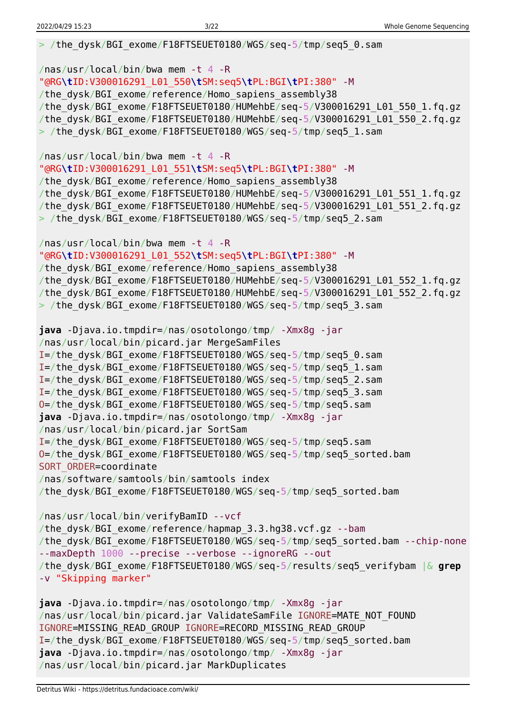> /the dysk/BGI exome/F18FTSEUET0180/WGS/seq-5/tmp/seq5 0.sam

/nas/usr/local/bin/bwa mem -t 4 -R "@RG**\t**ID:V300016291\_L01\_550**\t**SM:seq5**\t**PL:BGI**\t**PI:380" -M /the\_dysk/BGI\_exome/reference/Homo\_sapiens\_assembly38 /the\_dysk/BGI\_exome/F18FTSEUET0180/HUMehbE/seq-5/V300016291\_L01\_550\_1.fq.gz /the\_dysk/BGI\_exome/F18FTSEUET0180/HUMehbE/seq-5/V300016291\_L01\_550\_2.fq.gz > /the\_dysk/BGI\_exome/F18FTSEUET0180/WGS/seq-5/tmp/seq5\_1.sam /nas/usr/local/bin/bwa mem -t 4 -R "@RG**\t**ID:V300016291\_L01\_551**\t**SM:seq5**\t**PL:BGI**\t**PI:380" -M /the dysk/BGI exome/reference/Homo sapiens assembly38 /the\_dysk/BGI\_exome/F18FTSEUET0180/HUMehbE/seq-5/V300016291\_L01\_551\_1.fq.gz /the\_dysk/BGI\_exome/F18FTSEUET0180/HUMehbE/seq-5/V300016291\_L01\_551\_2.fq.gz > /the dysk/BGI exome/F18FTSEUET0180/WGS/seq-5/tmp/seq5\_2.sam /nas/usr/local/bin/bwa mem -t 4 -R "@RG**\t**ID:V300016291\_L01\_552**\t**SM:seq5**\t**PL:BGI**\t**PI:380" -M /the dysk/BGI exome/reference/Homo sapiens assembly38 /the dysk/BGI exome/F18FTSEUET0180/HUMehbE/seq-5/V300016291 L01 552 1.fq.gz /the\_dysk/BGI\_exome/F18FTSEUET0180/HUMehbE/seq-5/V300016291\_L01\_552\_2.fq.gz > /the\_dysk/BGI\_exome/F18FTSEUET0180/WGS/seq-5/tmp/seq5\_3.sam **java** -Djava.io.tmpdir=/nas/osotolongo/tmp/ -Xmx8g -jar /nas/usr/local/bin/picard.jar MergeSamFiles I=/the\_dysk/BGI\_exome/F18FTSEUET0180/WGS/seq-5/tmp/seq5\_0.sam I=/the\_dysk/BGI\_exome/F18FTSEUET0180/WGS/seq-5/tmp/seq5\_1.sam I=/the\_dysk/BGI\_exome/F18FTSEUET0180/WGS/seq-5/tmp/seq5\_2.sam I=/the\_dysk/BGI\_exome/F18FTSEUET0180/WGS/seq-5/tmp/seq5\_3.sam O=/the\_dysk/BGI\_exome/F18FTSEUET0180/WGS/seq-5/tmp/seq5.sam **java** -Djava.io.tmpdir=/nas/osotolongo/tmp/ -Xmx8g -jar /nas/usr/local/bin/picard.jar SortSam I=/the\_dysk/BGI\_exome/F18FTSEUET0180/WGS/seq-5/tmp/seq5.sam O=/the\_dysk/BGI\_exome/F18FTSEUET0180/WGS/seq-5/tmp/seq5\_sorted.bam SORT ORDER=coordinate /nas/software/samtools/bin/samtools index /the\_dysk/BGI\_exome/F18FTSEUET0180/WGS/seq-5/tmp/seq5\_sorted.bam /nas/usr/local/bin/verifyBamID --vcf /the\_dysk/BGI\_exome/reference/hapmap\_3.3.hg38.vcf.gz --bam /the\_dysk/BGI\_exome/F18FTSEUET0180/WGS/seq-5/tmp/seq5\_sorted.bam --chip-none --maxDepth 1000 --precise --verbose --ignoreRG --out /the\_dysk/BGI\_exome/F18FTSEUET0180/WGS/seq-5/results/seq5\_verifybam |& **grep** -v "Skipping marker" **java** -Djava.io.tmpdir=/nas/osotolongo/tmp/ -Xmx8g -jar /nas/usr/local/bin/picard.jar ValidateSamFile IGNORE=MATE\_NOT\_FOUND IGNORE=MISSING\_READ\_GROUP IGNORE=RECORD\_MISSING\_READ\_GROUP I=/the\_dysk/BGI\_exome/F18FTSEUET0180/WGS/seq-5/tmp/seq5\_sorted.bam **java** -Djava.io.tmpdir=/nas/osotolongo/tmp/ -Xmx8g -jar

/nas/usr/local/bin/picard.jar MarkDuplicates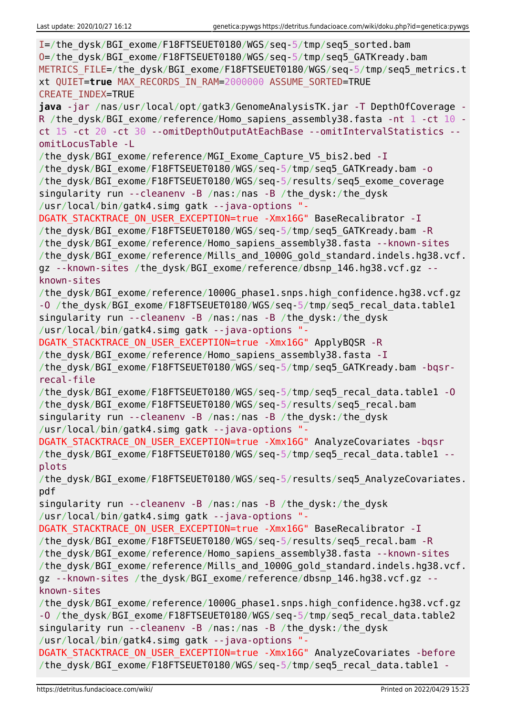| I=/the dysk/BGI exome/F18FTSEUET0180/WGS/seq-5/tmp/seq5 sorted.bam                     |
|----------------------------------------------------------------------------------------|
| 0=/the_dysk/BGI_exome/F18FTSEUET0180/WGS/seq-5/tmp/seq5_GATKready.bam                  |
| METRICS_FILE=/the_dysk/BGI_exome/F18FTSEUET0180/WGS/seq-5/tmp/seq5_metrics.t           |
| xt QUIET=true MAX RECORDS IN RAM=2000000 ASSUME SORTED=TRUE                            |
| <b>CREATE INDEX=TRUE</b>                                                               |
| java -jar /nas/usr/local/opt/gatk3/GenomeAnalysisTK.jar -T DepthOfCoverage -           |
| R /the_dysk/BGI_exome/reference/Homo_sapiens_assembly38.fasta -nt 1 -ct 10 -           |
| ct 15 -ct 20 -ct 30 --omitDepthOutputAtEachBase --omitIntervalStatistics --            |
| omitLocusTable -L                                                                      |
| /the dysk/BGI exome/reference/MGI Exome Capture V5 bis2.bed - I                        |
| /the_dysk/BGI_exome/F18FTSEUET0180/WGS/seq-5/tmp/seq5_GATKready.bam - o                |
| /the dysk/BGI exome/F18FTSEUET0180/WGS/seq-5/results/seq5 exome coverage               |
| singularity run --cleanenv -B /nas:/nas -B /the dysk:/the dysk                         |
| /usr/local/bin/gatk4.simg gatk --java-options "-                                       |
| DGATK_STACKTRACE_ON_USER_EXCEPTION=true -Xmx16G" BaseRecalibrator - I                  |
| /the dysk/BGI exome/F18FTSEUET0180/WGS/seq-5/tmp/seq5 GATKready.bam -R                 |
|                                                                                        |
| /the_dysk/BGI_exome/reference/Homo_sapiens_assembly38.fasta --known-sites              |
| /the_dysk/BGI_exome/reference/Mills_and_1000G_gold_standard.indels.hg38.vcf.           |
| gz --known-sites /the_dysk/BGI_exome/reference/dbsnp_146.hg38.vcf.gz --<br>known-sites |
| /the_dysk/BGI_exome/reference/1000G_phase1.snps.high_confidence.hg38.vcf.gz            |
| -0 /the dysk/BGI exome/F18FTSEUET0180/WGS/seq-5/tmp/seq5 recal data.table1             |
| singularity run --cleanenv -B /nas:/nas -B /the_dysk:/the_dysk                         |
| /usr/local/bin/gatk4.simg gatk --java-options "-                                       |
| DGATK_STACKTRACE_ON_USER_EXCEPTION=true -Xmx16G" ApplyBQSR -R                          |
| /the dysk/BGI exome/reference/Homo sapiens assembly38.fasta - I                        |
| /the_dysk/BGI_exome/F18FTSEUET0180/WGS/seq-5/tmp/seq5_GATKready.bam -bqsr-             |
| recal-file                                                                             |
| /the_dysk/BGI_exome/F18FTSEUET0180/WGS/seq-5/tmp/seq5_recal_data.table1 -0             |
| /the dysk/BGI exome/F18FTSEUET0180/WGS/seq-5/results/seq5 recal.bam                    |
| singularity run --cleanenv -B /nas:/nas -B /the_dysk:/the_dysk                         |
| /usr/local/bin/gatk4.simg gatk --java-options "-                                       |
| DGATK_STACKTRACE_ON_USER_EXCEPTION=true -Xmx16G" AnalyzeCovariates -bqsr               |
| /the_dysk/BGI_exome/F18FTSEUET0180/WGS/seq-5/tmp/seq5_recal_data.table1 --             |
| plots                                                                                  |
| /the dysk/BGI exome/F18FTSEUET0180/WGS/seq-5/results/seq5 AnalyzeCovariates.           |
| pdf                                                                                    |
| singularity run --cleanenv -B /nas:/nas -B /the dysk:/the dysk                         |
| /usr/local/bin/gatk4.simg gatk --java-options "-                                       |
| DGATK_STACKTRACE_ON_USER_EXCEPTION=true -Xmx16G" BaseRecalibrator - I                  |
| /the dysk/BGI exome/F18FTSEUET0180/WGS/seq-5/results/seq5 recal.bam -R                 |
| /the dysk/BGI exome/reference/Homo sapiens assembly38.fasta --known-sites              |
| /the dysk/BGI exome/reference/Mills and 1000G gold standard.indels.hg38.vcf.           |
| gz --known-sites /the dysk/BGI exome/reference/dbsnp 146.hg38.vcf.gz --                |
| known-sites                                                                            |
| /the_dysk/BGI_exome/reference/1000G_phase1.snps.high_confidence.hg38.vcf.gz            |
| -0 /the dysk/BGI exome/F18FTSEUET0180/WGS/seq-5/tmp/seq5 recal data.table2             |
| singularity run --cleanenv -B /nas:/nas -B /the dysk:/the dysk                         |
| /usr/local/bin/gatk4.simg gatk --java-options "-                                       |
| DGATK STACKTRACE ON USER EXCEPTION=true -Xmx16G" AnalyzeCovariates -before             |
| /the_dysk/BGI_exome/F18FTSEUET0180/WGS/seq-5/tmp/seq5_recal_data.table1 -              |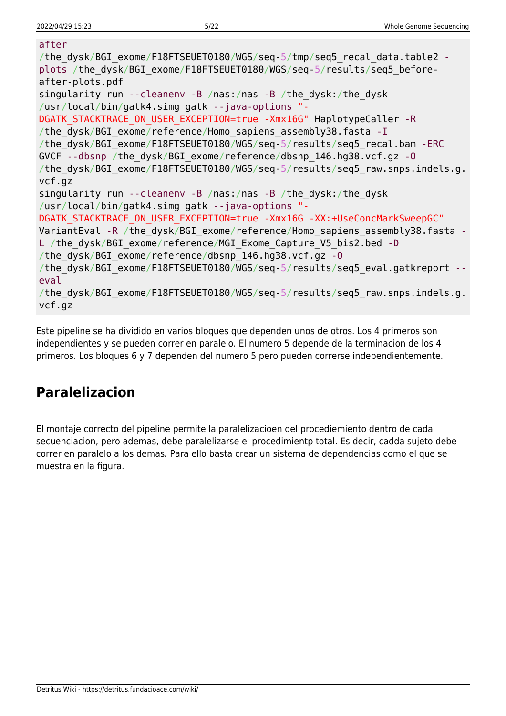#### after

```
/the dysk/BGI exome/F18FTSEUET0180/WGS/seq-5/tmp/seq5 recal data.table2 -
plots /the_dysk/BGI_exome/F18FTSEUET0180/WGS/seq-5/results/seq5_before-
after-plots.pdf
singularity run --cleanenv -B /nas:/nas -B /the_dysk:/the_dysk
/usr/local/bin/gatk4.simg gatk --java-options "-
DGATK STACKTRACE ON USER EXCEPTION=true -Xmx16G" HaplotypeCaller -R
/the dysk/BGI exome/reference/Homo sapiens assembly38.fasta -I
/the_dysk/BGI_exome/F18FTSEUET0180/WGS/seq-5/results/seq5_recal.bam -ERC
GVCF --dbsnp /the_dysk/BGI_exome/reference/dbsnp_146.hg38.vcf.gz -O
/the dysk/BGI exome/F18FTSEUET0180/WGS/seq-5/results/seq5 raw.snps.indels.g.
vcf.gz
singularity run --cleanenv -B /nas:/nas -B /the_dysk:/the_dysk
/usr/local/bin/gatk4.simg gatk --java-options "-
DGATK STACKTRACE ON USER EXCEPTION=true -Xmx16G -XX:+UseConcMarkSweepGC"
VariantEval -R /the dysk/BGI exome/reference/Homo sapiens assembly38.fasta -
L /the dysk/BGI exome/reference/MGI Exome Capture V5 bis2.bed -D
/the_dysk/BGI_exome/reference/dbsnp_146.hg38.vcf.gz -O
/the dysk/BGI exome/F18FTSEUET0180/WGS/seq-5/results/seq5 eval.gatkreport --
eval
/the_dysk/BGI_exome/F18FTSEUET0180/WGS/seq-5/results/seq5_raw.snps.indels.g.
vcf.gz
```
Este pipeline se ha dividido en varios bloques que dependen unos de otros. Los 4 primeros son independientes y se pueden correr en paralelo. El numero 5 depende de la terminacion de los 4 primeros. Los bloques 6 y 7 dependen del numero 5 pero pueden correrse independientemente.

## **Paralelizacion**

El montaje correcto del pipeline permite la paralelizacioen del procediemiento dentro de cada secuenciacion, pero ademas, debe paralelizarse el procedimientp total. Es decir, cadda sujeto debe correr en paralelo a los demas. Para ello basta crear un sistema de dependencias como el que se muestra en la figura.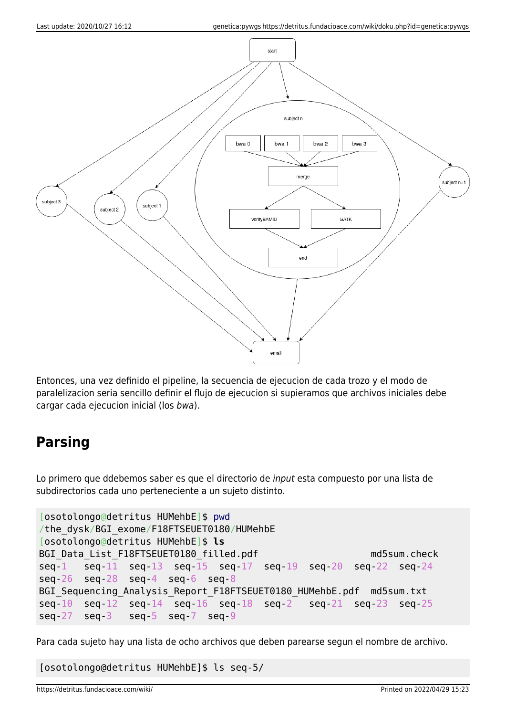

Entonces, una vez definido el pipeline, la secuencia de ejecucion de cada trozo y el modo de paralelizacion seria sencillo definir el flujo de ejecucion si supieramos que archivos iniciales debe cargar cada ejecucion inicial (los bwa).

## **Parsing**

Lo primero que ddebemos saber es que el directorio de input esta compuesto por una lista de subdirectorios cada uno perteneciente a un sujeto distinto.

```
[osotolongo@detritus HUMehbE]$ pwd
/the_dysk/BGI_exome/F18FTSEUET0180/HUMehbE
[osotolongo@detritus HUMehbE]$ ls
BGI Data List F18FTSEUET0180 filled.pdf md5sum.check
seq-1 seq-11 seq-13 seq-15 seq-17 seq-19 seq-20 seq-22 seq-24
seq-26 seq-28 seq-4 seq-6 seq-8
BGI Sequencing Analysis Report F18FTSEUET0180 HUMehbE.pdf md5sum.txt
seq-10 seq-12 seq-14 seq-16 seq-18 seq-2 seq-21 seq-23 seq-25
seq-27 seq-3 seq-5 seq-7 seq-9
```
Para cada sujeto hay una lista de ocho archivos que deben parearse segun el nombre de archivo.

[osotolongo@detritus HUMehbE]\$ ls seq-5/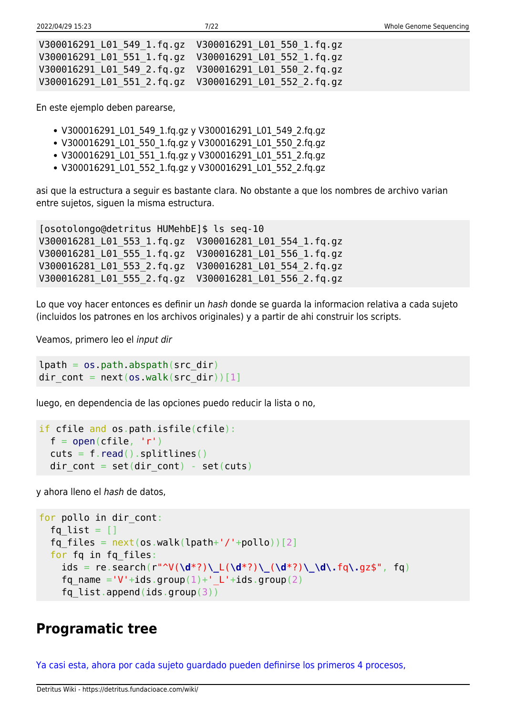| V300016291 L01 549 1.fg.gz  V300016291 L01 550 1.fg.gz |  |
|--------------------------------------------------------|--|
| V300016291 L01 551 1.fq.gz  V300016291 L01 552 1.fq.gz |  |
| V300016291 L01 549 2.fg.gz  V300016291 L01 550 2.fg.gz |  |
|                                                        |  |

En este ejemplo deben parearse,

- V300016291 L01 549 1.fq.gz y V300016291 L01 549 2.fq.gz
- V300016291\_L01\_550\_1.fq.gz y V300016291\_L01\_550\_2.fq.gz
- V300016291 L01 551 1.fq.gz y V300016291 L01 551 2.fq.gz
- V300016291\_L01\_552\_1.fq.gz y V300016291\_L01\_552\_2.fq.gz

asi que la estructura a seguir es bastante clara. No obstante a que los nombres de archivo varian entre sujetos, siguen la misma estructura.

[osotolongo@detritus HUMehbE]\$ ls seq-10 V300016281\_L01\_553\_1.fq.gz V300016281\_L01\_554\_1.fq.gz V300016281\_L01\_555\_1.fq.gz V300016281\_L01\_556\_1.fq.gz V300016281\_L01\_553\_2.fq.gz V300016281\_L01\_554\_2.fq.gz V300016281\_L01\_555\_2.fq.gz V300016281\_L01\_556\_2.fq.gz

Lo que voy hacer entonces es definir un hash donde se guarda la informacion relativa a cada sujeto (incluidos los patrones en los archivos originales) y a partir de ahi construir los scripts.

Veamos, primero leo el input dir

```
lpath = os.pathr<sub>obs</sub>, abspath(src dir)</sub>
dir cont = next(os.walk(src dir))[1]
```
luego, en dependencia de las opciones puedo reducir la lista o no,

```
if cfile and os.path.isfile(cfile):
 open(cfile, 'r')read().splitlines()dir cont = set(dir cont) - set(cuts)
```
y ahora lleno el hash de datos,

```
for pollo in dir cont:
  fq list = []fq files = next(os.walk(lpath+'/'+pollo))[2] for fq in fq_files:
     ids = re.search(r"^V(\d*?)\_L(\d*?)\_(\d*?)\_\d\.fq\.gz$", fq)
    fq name ='V'+ids.group(1)+' L'+ids.group(2)
    fq list.append(ids.group(3))
```
### **Programatic tree**

[Ya casi esta, ahora por cada sujeto guardado pueden definirse los primeros 4 procesos,](#page--1-0)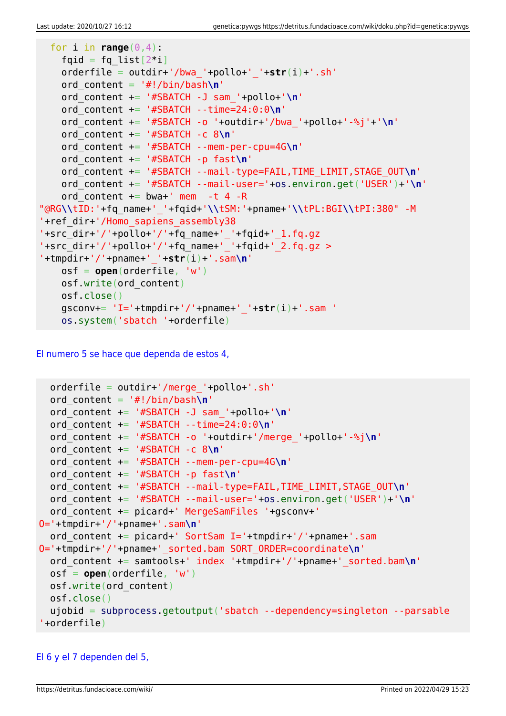```
for i in range(0, 4):
   fqid = fq list[2^*i] orderfile = outdir+'/bwa_'+pollo+'_'+str(i)+'.sh'
    ord_content = '#!/bin/bash\n'
    ord_content += '#SBATCH -J sam_'+pollo+'\n'
    ord_content += '#SBATCH --time=24:0:0\n'
    ord_content += '#SBATCH -o '+outdir+'/bwa_'+pollo+'-%j'+'\n'
    ord_content += '#SBATCH -c 8\n'
    ord_content += '#SBATCH --mem-per-cpu=4G\n'
    ord_content += '#SBATCH -p fast\n'
    ord_content += '#SBATCH --mail-type=FAIL,TIME_LIMIT,STAGE_OUT\n'
    ord_content += '#SBATCH --mail-user='+os.environ.get('USER')+'\n'
   ord content += bwa+' mem -t 4 -R
"@RG\\tID:'+fq_name+'_'+fqid+'\\tSM:'+pname+'\\tPL:BGI\\tPI:380" -M
'+ref_dir+'/Homo_sapiens_assembly38
'+src_dir+'/'+pollo+'/'+fq_name+'_'+fqid+'_1.fq.gz
'+src_dir+'/'+pollo+'/'+fq_name+'_'+fqid+'_2.fq.gz >
'+tmpdir+'/'+pname+'_'+str(i)+'.sam\n'
    osf = open(orderfile, 'w')
    osf.write(ord_content)
    osf.close()
    gsconv+= 'I='+tmpdir+'/'+pname+'_'+str(i)+'.sam '
    os.system('sbatch '+orderfile)
```
[El numero 5 se hace que dependa de estos 4,](#page--1-0)

```
orderfile = outdir+'/merge'+pollo+.sh' ord_content = '#!/bin/bash\n'
  ord_content += '#SBATCH -J sam_'+pollo+'\n'
   ord_content += '#SBATCH --time=24:0:0\n'
  ord_content += '#SBATCH -o '+outdir+'/merge_'+pollo+'-%j\n'
  ord_content += '#SBATCH -c 8\n'
  ord_content += '#SBATCH --mem-per-cpu=4G\n'
  ord_content += '#SBATCH -p fast\n'
  ord_content += '#SBATCH --mail-type=FAIL,TIME_LIMIT,STAGE_OUT\n'
  ord_content += '#SBATCH --mail-user='+os.environ.get('USER')+'\n'
   ord_content += picard+' MergeSamFiles '+gsconv+'
O='+tmpdir+'/'+pname+'.sam\n'
  ord content += picard+' SortSam I='+tmpdir+'/'+pname+'.sam
O='+tmpdir+'/'+pname+'_sorted.bam SORT_ORDER=coordinate\n'
  ord_content += samtools+' index '+tmpdir+'/'+pname+'_sorted.bam\n'
  osf = open(orderfile, 'w')
  osf.write(ord_content)
  osf.close()
   ujobid = subprocess.getoutput('sbatch --dependency=singleton --parsable
'+orderfile)
```
### [El 6 y el 7 dependen del 5,](#page--1-0)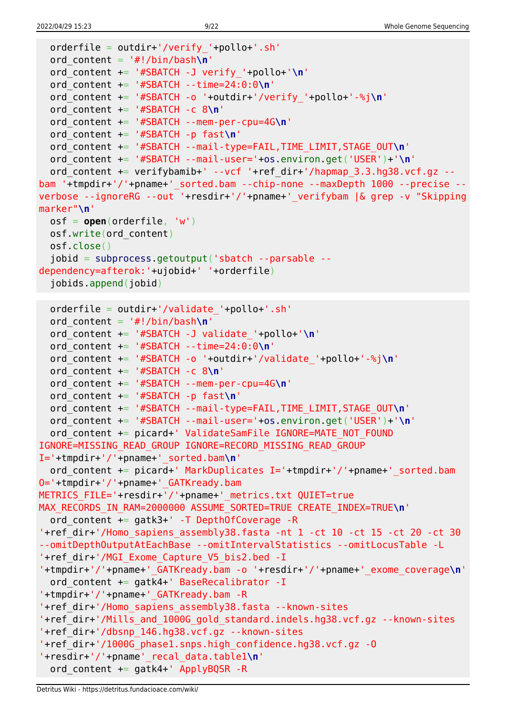```
 orderfile = outdir+'/verify_'+pollo+'.sh'
  ord_content = '#!/bin/bash\n'
   ord_content += '#SBATCH -J verify_'+pollo+'\n'
  ord_content += '#SBATCH --time=24:0:0\n'
  ord_content += '#SBATCH -o '+outdir+'/verify_'+pollo+'-%j\n'
   ord_content += '#SBATCH -c 8\n'
  ord_content += '#SBATCH --mem-per-cpu=4G\n'
  ord_content += '#SBATCH -p fast\n'
  ord_content += '#SBATCH --mail-type=FAIL,TIME_LIMIT,STAGE_OUT\n'
  ord_content += '#SBATCH --mail-user='+os.environ.get('USER')+'\n'
  ord content += verifybamib+' --vcf '+ref dir+'/hapmap 3.3.hg38.vcf.gz --
bam '+tmpdir+'/'+pname+' sorted.bam --chip-none --maxDepth 1000 --precise --
verbose --ignoreRG --out '+resdir+'/'+pname+'_verifybam |& grep -v "Skipping
marker"\n'
  osf = open(orderfile, 'w')
  osf.write(ord_content)
  osf.close()
   jobid = subprocess.getoutput('sbatch --parsable --
dependency=afterok:'+ujobid+' '+orderfile)
   jobids.append(jobid)
  orderfile = outdir+'/validate_'+pollo+'.sh'
  ord_content = '#!/bin/bash\n'
  ord_content += '#SBATCH -J validate_'+pollo+'\n'
  ord_content += '#SBATCH --time=24:0:0\n'
  ord_content += '#SBATCH -o '+outdir+'/validate_'+pollo+'-%j\n'
  ord_content += '#SBATCH -c 8\n'
  ord_content += '#SBATCH --mem-per-cpu=4G\n'
   ord_content += '#SBATCH -p fast\n'
  ord_content += '#SBATCH --mail-type=FAIL,TIME_LIMIT,STAGE_OUT\n'
  ord_content += '#SBATCH --mail-user='+os.environ.get('USER')+'\n'
  ord content += picard+' ValidateSamFile IGNORE=MATE NOT FOUND
IGNORE=MISSING_READ_GROUP IGNORE=RECORD_MISSING_READ_GROUP
I='+tmpdir+'/'+pname+'_sorted.bam\n'
  ord content += picard+' MarkDuplicates I='+tmpdir+'/'+pname+' sorted.bam
O='+tmpdir+'/'+pname+'_GATKready.bam
METRICS_FILE='+resdir+'/'+pname+'_metrics.txt QUIET=true
MAX_RECORDS_IN_RAM=2000000 ASSUME_SORTED=TRUE CREATE_INDEX=TRUE\n'
   ord_content += gatk3+' -T DepthOfCoverage -R
'+ref_dir+'/Homo_sapiens_assembly38.fasta -nt 1 -ct 10 -ct 15 -ct 20 -ct 30
--omitDepthOutputAtEachBase --omitIntervalStatistics --omitLocusTable -L
'+ref_dir+'/MGI_Exome_Capture_V5_bis2.bed -I
'+tmpdir+'/'+pname+'_GATKready.bam -o '+resdir+'/'+pname+'_exome_coverage\n'
  ord content += gatk4+' BaseRecalibrator -I
'+tmpdir+'/'+pname+'_GATKready.bam -R
'+ref_dir+'/Homo_sapiens_assembly38.fasta --known-sites
'+ref_dir+'/Mills_and_1000G_gold_standard.indels.hg38.vcf.gz --known-sites
'+ref_dir+'/dbsnp_146.hg38.vcf.gz --known-sites
'+ref_dir+'/1000G_phase1.snps.high_confidence.hg38.vcf.gz -O
'+resdir+'/'+pname'_recal_data.table1\n'
  ord content += gatk4+' ApplyBQSR -R
```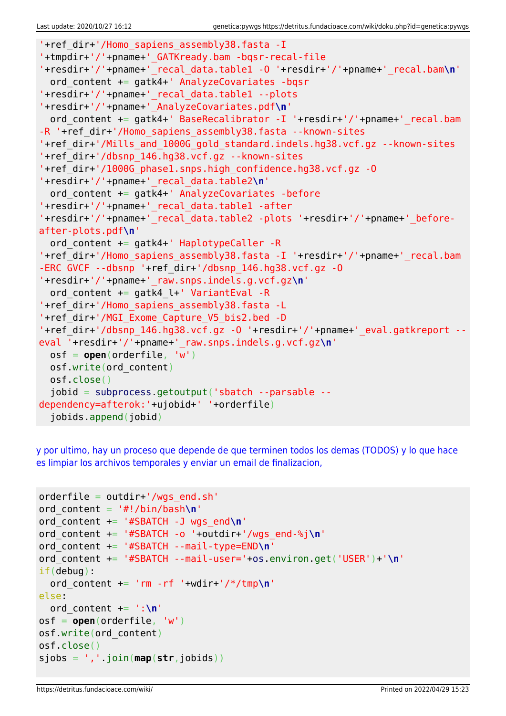```
'+ref_dir+'/Homo_sapiens_assembly38.fasta -I
'+tmpdir+'/'+pname+'_GATKready.bam -bqsr-recal-file
'+resdir+'/'+pname+'_recal_data.table1 -O '+resdir+'/'+pname+'_recal.bam\n'
   ord_content += gatk4+' AnalyzeCovariates -bqsr
'+resdir+'/'+pname+'_recal_data.table1 --plots
'+resdir+'/'+pname+'_AnalyzeCovariates.pdf\n'
  ord content += gatk4+' BaseRecalibrator -I '+resdir+'/'+pname+' recal.bam
-R '+ref dir+'/Homo sapiens assembly38.fasta --known-sites
'+ref_dir+'/Mills_and_1000G_gold_standard.indels.hg38.vcf.gz --known-sites
'+ref_dir+'/dbsnp_146.hg38.vcf.gz --known-sites
'+ref_dir+'/1000G_phase1.snps.high_confidence.hg38.vcf.gz -O
'+resdir+'/'+pname+'_recal_data.table2\n'
 ord content += gatk4+' AnalyzeCovariates -before
'+resdir+'/'+pname+'_recal_data.table1 -after
'+resdir+'/'+pname+'_recal_data.table2 -plots '+resdir+'/'+pname+'_before-
after-plots.pdf\n'
  ord content += gatk4+' HaplotypeCaller -R
'+ref_dir+'/Homo_sapiens_assembly38.fasta -I '+resdir+'/'+pname+' recal.bam
-ERC GVCF --dbsnp '+ref_dir+'/dbsnp_146.hg38.vcf.gz -O
'+resdir+'/'+pname+'_raw.snps.indels.g.vcf.gz\n'
  ord content += gatk4 l+' VariantEval -R
'+ref_dir+'/Homo_sapiens_assembly38.fasta -L
'+ref_dir+'/MGI_Exome_Capture_V5_bis2.bed -D
'+ref_dir+'/dbsnp_146.hg38.vcf.gz -O '+resdir+'/'+pname+'_eval.gatkreport --
eval '+resdir+'/'+pname+'_raw.snps.indels.g.vcf.gz\n'
  osf = open(orderfile, 'w')
  osf.write(ord_content)
  osf.close()
   jobid = subprocess.getoutput('sbatch --parsable --
dependency=afterok:'+ujobid+' '+orderfile)
   jobids.append(jobid)
```
[y por ultimo, hay un proceso que depende de que terminen todos los demas \(TODOS\) y lo que hace](#page--1-0) [es limpiar los archivos temporales y enviar un email de finalizacion,](#page--1-0)

```
orderfile = outdir+'/wgs end.sh'
ord_content = '#!/bin/bash\n'
ord_content += '#SBATCH -J wgs_end\n'
ord_content += '#SBATCH -o '+outdir+'/wgs_end-%j\n'
ord_content += '#SBATCH --mail-type=END\n'
ord_content += '#SBATCH --mail-user='+os.environ.get('USER')+'\n'
if(debug):
  ord_content += 'rm -rf '+wdir+'/*/tmp\n'
else:
  ord_content += ':\n'
osf = open(orderfile, 'w')
osf.write(ord_content)
osf.close()
sjobs = ','.join(map(str,jobids))
```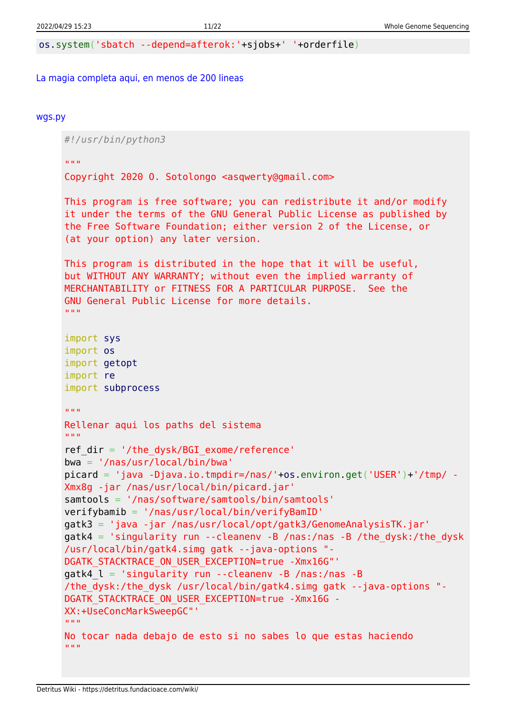os.system('sbatch --depend=afterok:'+sjobs+' '+orderfile)

#### [La magia completa aqui, en menos de 200 lineas](#page--1-0)

#### [wgs.py](https://detritus.fundacioace.com/wiki/doku.php?do=export_code&id=genetica:pywgs&codeblock=15)

*#!/usr/bin/python3*

"" "" ""

Copyright 2020 O. Sotolongo <asqwerty@gmail.com>

```
This program is free software; you can redistribute it and/or modify
it under the terms of the GNU General Public License as published by
the Free Software Foundation; either version 2 of the License, or
(at your option) any later version.
```

```
This program is distributed in the hope that it will be useful,
but WITHOUT ANY WARRANTY; without even the implied warranty of
MERCHANTABILITY or FITNESS FOR A PARTICULAR PURPOSE. See the
GNU General Public License for more details.
"" "" ""
```
import sys import os import getopt

import subprocess

```
import re
```
 $"''$  ""

```
Rellenar aqui los paths del sistema
"" "" ""
ref dir = '/the dysk/BGI exome/reference'
bwa = '/nas/usr/local/bin/bwa'
picard = 'java -Djava.io.tmpdir=/nas/'+os.environ.get('USER')+'/tmp/ -
Xmx8g -jar /nas/usr/local/bin/picard.jar'
samtools = '/nas/software/samtools/bin/samtools'
verifybamib = '/nas/usr/local/bin/verifyBamID'
```

```
gatk3 = 'java -jar /nas/usr/local/opt/gatk3/GenomeAnalysisTK.jar'
```
 $q$ atk4 = 'singularity run --cleanenv -B /nas:/nas -B /the dysk:/the dysk /usr/local/bin/gatk4.simg gatk --java-options "- DGATK\_STACKTRACE\_ON\_USER\_EXCEPTION=true -Xmx16G"'

```
qatk4 l = 'singularity run --cleanenv -B /nas:/nas -B
```

```
/the_dysk:/the_dysk /usr/local/bin/gatk4.simg gatk --java-options "-
```

```
DGATK_STACKTRACE_ON_USER_EXCEPTION=true -Xmx16G -
```

```
XX:+UseConcMarkSweepGC"'
```

```
"" "" ""
```

```
No tocar nada debajo de esto si no sabes lo que estas haciendo
"" "" ""
```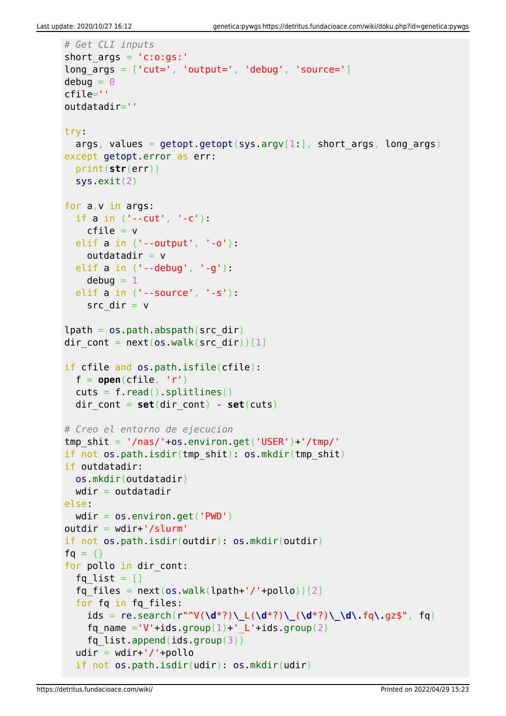```
# Get CLI inputs
short_args = 'c:o:gs:'
long \text{args} = [\text{'cut=}', 'output='', 'debug', 'source='}]debuq = 0cfile=''
outdatadir=''
try:
  args, values = getopt.getopt(sys.argv[1:], short args, long args)
except getopt.error as err:
   print(str(err))
   sys.exit(2)
for a,v in args:
   if a in ('--cut', '-c'):
   cfile = v elif a in ('--output', '-o'):
    outdatadir = velif a in ('--debuq', '--q'):
    debuq = 1 elif a in ('--source', '-s'):
    src dir = vlpath = os.path.databspath(src dir)dir cont = next(os.walk(src dir))[1]
if cfile and os.path.isfile(cfile):
  f = open(cfile, 'r')cuts = f.read().splitlines() dir_cont = set(dir_cont) - set(cuts)
# Creo el entorno de ejecucion
tmp shift = '/nas/'+os.environ.get('USER')+'/tmp/'if not os.path.isdir(tmp_shit): os.mkdir(tmp_shit)
if outdatadir:
   os.mkdir(outdatadir)
  wdir = outdatadirelse:
  wdir = os.environ.get('PWD')
outdir = wdir+'/slurm'if not os.path.isdir(outdir): os.mkdir(outdir)
fg = \{\}for pollo in dir cont:
  fq list = []fq files = next(os.walk(lpath+'/'+pollo))[2]for fa in fa files:
    ids = re.search(r"^V(\d*?)\_L(\d*?)\_(\d*?)\_\d\.fq\.gz$", fq)
    fq name ='V'+ids.group(1)+' L'+ids.group(2)
    fq list.append(ids.group(3))
  udir = wdir+'/'+pollo if not os.path.isdir(udir): os.mkdir(udir)
```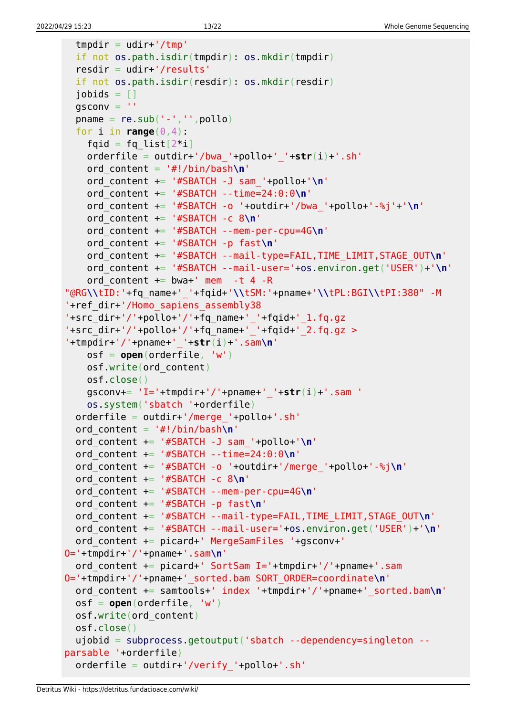```
tmpdir = udir+'/tmp'
   if not os.path.isdir(tmpdir): os.mkdir(tmpdir)
   resdir = udir+'/results'
   if not os.path.isdir(resdir): os.mkdir(resdir)
  jobids = []gsconv =pname = re.sub('--', '', poollo)for i in range(0, 4):
    fqid = fq list[2^*i] orderfile = outdir+'/bwa_'+pollo+'_'+str(i)+'.sh'
     ord_content = '#!/bin/bash\n'
     ord_content += '#SBATCH -J sam_'+pollo+'\n'
     ord_content += '#SBATCH --time=24:0:0\n'
     ord_content += '#SBATCH -o '+outdir+'/bwa_'+pollo+'-%j'+'\n'
     ord_content += '#SBATCH -c 8\n'
     ord_content += '#SBATCH --mem-per-cpu=4G\n'
     ord_content += '#SBATCH -p fast\n'
     ord_content += '#SBATCH --mail-type=FAIL,TIME_LIMIT,STAGE_OUT\n'
     ord_content += '#SBATCH --mail-user='+os.environ.get('USER')+'\n'
    ord content += bwa+' mem -t 4 -R
"@RG\\tID:'+fq_name+'_'+fqid+'\\tSM:'+pname+'\\tPL:BGI\\tPI:380" -M
'+ref_dir+'/Homo_sapiens_assembly38
'+src_dir+'/'+pollo+'/'+fq_name+'_'+fqid+'_1.fq.gz
- +src\overline{div}+'/'+pollo+'/'+fq\overline{name}+'+fqid+'\overline{2}.fq.gz >
'+tmpdir+'/'+pname+'_'+str(i)+'.sam\n'
     osf = open(orderfile, 'w')
     osf.write(ord_content)
     osf.close()
     gsconv+= 'I='+tmpdir+'/'+pname+'_'+str(i)+'.sam '
     os.system('sbatch '+orderfile)
  orderfile = outdir+'/merge'+pollo+'.sh' ord_content = '#!/bin/bash\n'
   ord_content += '#SBATCH -J sam_'+pollo+'\n'
   ord_content += '#SBATCH --time=24:0:0\n'
   ord_content += '#SBATCH -o '+outdir+'/merge_'+pollo+'-%j\n'
   ord_content += '#SBATCH -c 8\n'
   ord_content += '#SBATCH --mem-per-cpu=4G\n'
   ord_content += '#SBATCH -p fast\n'
   ord_content += '#SBATCH --mail-type=FAIL,TIME_LIMIT,STAGE_OUT\n'
   ord_content += '#SBATCH --mail-user='+os.environ.get('USER')+'\n'
   ord_content += picard+' MergeSamFiles '+gsconv+'
O='+tmpdir+'/'+pname+'.sam\n'
  ord content += picard+' SortSam I='+tmpdir+'/'+pname+'.sam
O='+tmpdir+'/'+pname+'_sorted.bam SORT_ORDER=coordinate\n'
   ord_content += samtools+' index '+tmpdir+'/'+pname+'_sorted.bam\n'
   osf = open(orderfile, 'w')
   osf.write(ord_content)
   osf.close()
   ujobid = subprocess.getoutput('sbatch --dependency=singleton --
parsable '+orderfile)
   orderfile = outdir+'/verify_'+pollo+'.sh'
```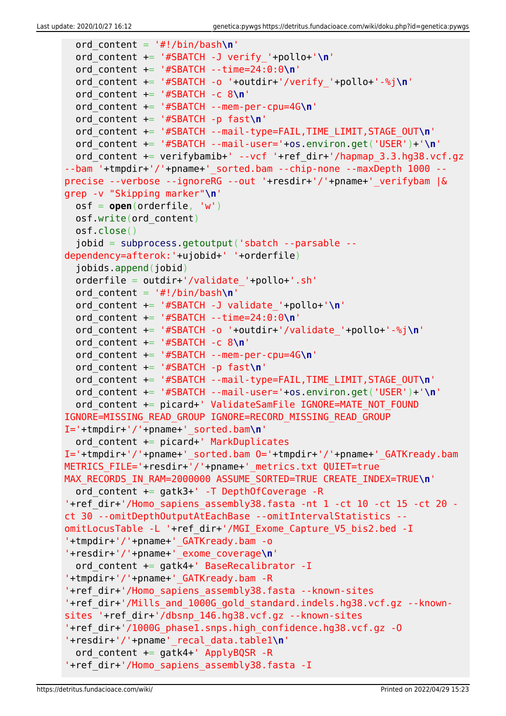```
 ord_content = '#!/bin/bash\n'
   ord_content += '#SBATCH -J verify_'+pollo+'\n'
   ord_content += '#SBATCH --time=24:0:0\n'
   ord_content += '#SBATCH -o '+outdir+'/verify_'+pollo+'-%j\n'
   ord_content += '#SBATCH -c 8\n'
   ord_content += '#SBATCH --mem-per-cpu=4G\n'
   ord_content += '#SBATCH -p fast\n'
   ord_content += '#SBATCH --mail-type=FAIL,TIME_LIMIT,STAGE_OUT\n'
   ord_content += '#SBATCH --mail-user='+os.environ.get('USER')+'\n'
  ord content += verifybamib+' --vcf '+ref dir+'/hapmap 3.3.hg38.vcf.gz
--bam '+tmpdir+'/'+pname+' sorted.bam --chip-none --maxDepth 1000 --
precise --verbose --ignoreRG --out '+resdir+'/'+pname+'_verifybam |&
grep -v "Skipping marker"\n'
   osf = open(orderfile, 'w')
   osf.write(ord_content)
   osf.close()
   jobid = subprocess.getoutput('sbatch --parsable --
dependency=afterok:'+ujobid+' '+orderfile)
   jobids.append(jobid)
   orderfile = outdir+'/validate_'+pollo+'.sh'
   ord_content = '#!/bin/bash\n'
   ord_content += '#SBATCH -J validate_'+pollo+'\n'
   ord_content += '#SBATCH --time=24:0:0\n'
   ord_content += '#SBATCH -o '+outdir+'/validate_'+pollo+'-%j\n'
   ord_content += '#SBATCH -c 8\n'
   ord_content += '#SBATCH --mem-per-cpu=4G\n'
   ord_content += '#SBATCH -p fast\n'
   ord_content += '#SBATCH --mail-type=FAIL,TIME_LIMIT,STAGE_OUT\n'
   ord_content += '#SBATCH --mail-user='+os.environ.get('USER')+'\n'
  ord content += picard+' ValidateSamFile IGNORE=MATE NOT FOUND
IGNORE=MISSING_READ_GROUP IGNORE=RECORD_MISSING_READ_GROUP
I='+tmpdir+'/'+pname+'_sorted.bam\n'
  ord content += picard+' MarkDuplicates
I='+tmpdir+'/'+pname+'_sorted.bam O='+tmpdir+'/'+pname+'_GATKready.bam
METRICS_FILE='+resdir+'/'+pname+'_metrics.txt QUIET=true
MAX RECORDS IN RAM=2000000 ASSUME SORTED=TRUE CREATE INDEX=TRUE\n'
   ord_content += gatk3+' -T DepthOfCoverage -R
'+ref_dir+'/Homo_sapiens_assembly38.fasta -nt 1 -ct 10 -ct 15 -ct 20 -
ct 30 --omitDepthOutputAtEachBase --omitIntervalStatistics --
omitLocusTable -L '+ref_dir+'/MGI_Exome_Capture_V5_bis2.bed -I
'+tmpdir+'/'+pname+'_GATKready.bam -o
'+resdir+'/'+pname+'_exome_coverage\n'
  ord content += gatk4+' BaseRecalibrator -I
'+tmpdir+'/'+pname+'_GATKready.bam -R
'+ref_dir+'/Homo_sapiens_assembly38.fasta --known-sites
'+ref_dir+'/Mills_and_1000G_gold_standard.indels.hg38.vcf.gz --known-
sites '+ref_dir+'/dbsnp_146.hg38.vcf.gz --known-sites
'+ref_dir+'/1000G_phase1.snps.high_confidence.hg38.vcf.gz -O
'+resdir+'/'+pname'_recal_data.table1\n'
  ord content += gatk4+' ApplyBQSR -R
'+ref_dir+'/Homo_sapiens_assembly38.fasta -I
```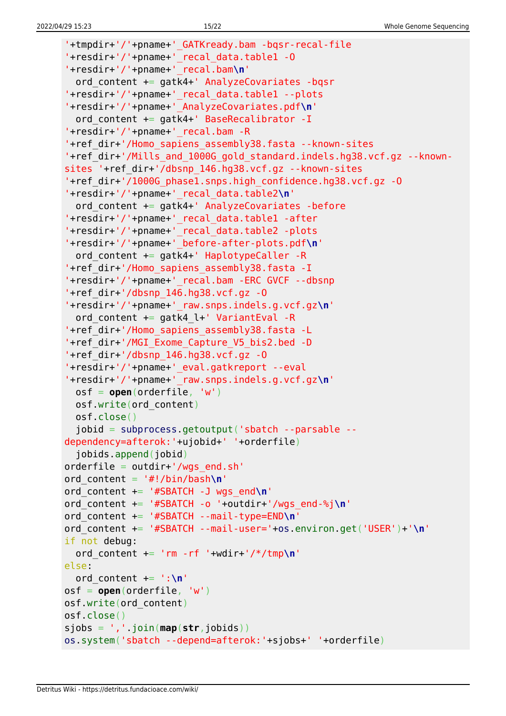```
'+tmpdir+'/'+pname+'_GATKready.bam -bqsr-recal-file
'+resdir+'/'+pname+'_recal_data.table1 -O
'+resdir+'/'+pname+'_recal.bam\n'
   ord_content += gatk4+' AnalyzeCovariates -bqsr
'+resdir+'/'+pname+'_recal_data.table1 --plots
'+resdir+'/'+pname+'_AnalyzeCovariates.pdf\n'
  ord content += gatk4+' BaseRecalibrator -I
'+resdir+'/'+pname+'_recal.bam -R
'+ref_dir+'/Homo_sapiens_assembly38.fasta --known-sites
'+ref_dir+'/Mills_and_1000G_gold_standard.indels.hg38.vcf.gz --known-
sites '+ref_dir+'/dbsnp_146.hg38.vcf.gz --known-sites
'+ref_dir+'/1000G_phase1.snps.high_confidence.hg38.vcf.gz -O
'+resdir+'/'+pname+'_recal_data.table2\n'
  ord content += gatk4+' AnalyzeCovariates -before
'+resdir+'/'+pname+'_recal_data.table1 -after
'+resdir+'/'+pname+'_recal_data.table2 -plots
'+resdir+'/'+pname+'_before-after-plots.pdf\n'
  ord content += gatk4+' HaplotypeCaller -R
'+ref_dir+'/Homo_sapiens_assembly38.fasta -I
'+resdir+'/'+pname+'_recal.bam -ERC GVCF --dbsnp
'+ref_dir+'/dbsnp_146.hg38.vcf.gz -O
'+resdir+'/'+pname+'_raw.snps.indels.g.vcf.gz\n'
  ord content += gatk4 l+' VariantEval -R
'+ref_dir+'/Homo_sapiens_assembly38.fasta -L
'+ref_dir+'/MGI_Exome_Capture_V5_bis2.bed -D
'+ref_dir+'/dbsnp_146.hg38.vcf.gz -O
'+resdir+'/'+pname+'_eval.gatkreport --eval
'+resdir+'/'+pname+'_raw.snps.indels.g.vcf.gz\n'
   osf = open(orderfile, 'w')
   osf.write(ord_content)
   osf.close()
   jobid = subprocess.getoutput('sbatch --parsable --
dependency=afterok:'+ujobid+' '+orderfile)
   jobids.append(jobid)
orderfile = outdir+'/wgs end.sh'
ord_content = '#!/bin/bash\n'
ord_content += '#SBATCH -J wgs_end\n'
ord_content += '#SBATCH -o '+outdir+'/wgs_end-%j\n'
ord_content += '#SBATCH --mail-type=END\n'
ord_content += '#SBATCH --mail-user='+os.environ.get('USER')+'\n'
if not debug:
   ord_content += 'rm -rf '+wdir+'/*/tmp\n'
else:
   ord_content += ':\n'
osf = open(orderfile, 'w')
osf.write(ord_content)
osf.close()
sjobs = ','.join(map(str,jobids))
os.system('sbatch --depend=afterok:'+sjobs+' '+orderfile)
```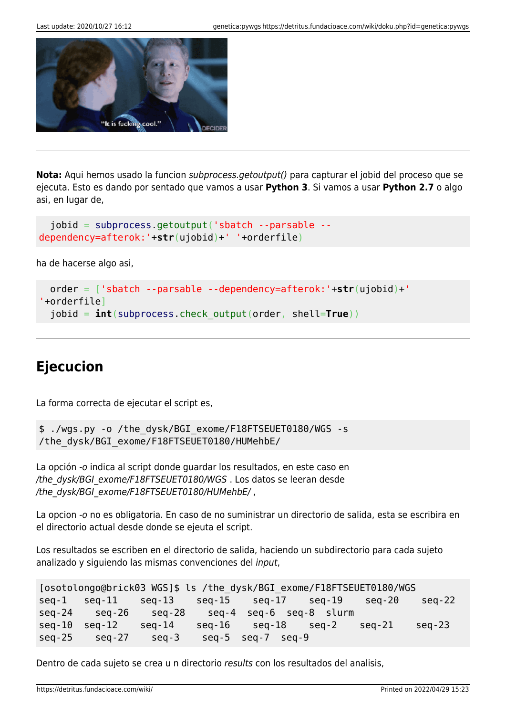

**Nota:** Aqui hemos usado la funcion subprocess.getoutput() para capturar el jobid del proceso que se ejecuta. Esto es dando por sentado que vamos a usar **Python 3**. Si vamos a usar **Python 2.7** o algo asi, en lugar de,

```
 jobid = subprocess.getoutput('sbatch --parsable --
dependency=afterok:'+str(ujobid)+' '+orderfile)
```
ha de hacerse algo asi,

```
 order = ['sbatch --parsable --dependency=afterok:'+str(ujobid)+'
'+orderfile]
  jobid = int(subprocess.check_output(order, shell=True))
```
## **Ejecucion**

La forma correcta de ejecutar el script es,

```
$ ./wgs.py -o /the_dysk/BGI_exome/F18FTSEUET0180/WGS -s
/the_dysk/BGI_exome/F18FTSEUET0180/HUMehbE/
```
La opción -o indica al script donde guardar los resultados, en este caso en /the\_dysk/BGI\_exome/F18FTSEUET0180/WGS . Los datos se leeran desde /the\_dysk/BGI\_exome/F18FTSEUET0180/HUMehbE/,

La opcion -o no es obligatoria. En caso de no suministrar un directorio de salida, esta se escribira en el directorio actual desde donde se ejeuta el script.

Los resultados se escriben en el directorio de salida, haciendo un subdirectorio para cada sujeto analizado y siguiendo las mismas convenciones del input,

```
[osotolongo@brick03 WGS]$ ls /the_dysk/BGI_exome/F18FTSEUET0180/WGS
seq-1 seq-11 seq-13 seq-15 seq-17 seq-19 seq-20 seq-22
seq-24 seq-26 seq-28 seq-4 seq-6 seq-8 slurm
seq-10 seq-12 seq-14 seq-16 seq-18 seq-2 seq-21 seq-23
seq-25 seq-27 seq-3 seq-5 seq-7 seq-9
```
Dentro de cada sujeto se crea u n directorio results con los resultados del analisis,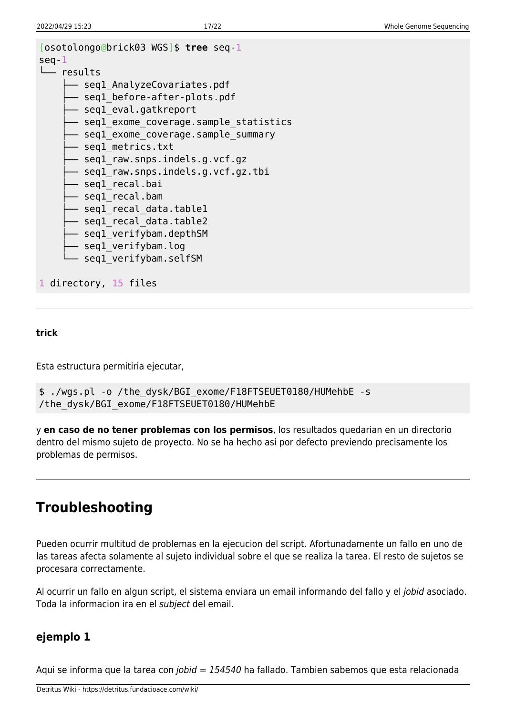```
[osotolongo@brick03 WGS]$ tree seq-1
seq-1
└── results
     - seql AnalyzeCovariates.pdf
       - seql before-after-plots.pdf
       - seql eval.gatkreport
       - seql exome coverage.sample statistics
       - seql exome coverage.sample summary
        ├── seq1_metrics.txt
        ├── seq1_raw.snps.indels.g.vcf.gz
       - seql raw.snps.indels.g.vcf.gz.tbi
       - seql recal.bai
       ├── seq1_recal.bam
       - seql recal data.table1
       - seql recal data.table2
       - seql verifybam.depthSM
       - seql verifybam.log
       - seql_verifybam.selfSM
1 directory, 15 files
```
#### **trick**

Esta estructura permitiria ejecutar,

```
$ ./wgs.pl -o /the_dysk/BGI_exome/F18FTSEUET0180/HUMehbE -s
/the_dysk/BGI_exome/F18FTSEUET0180/HUMehbE
```
y **en caso de no tener problemas con los permisos**, los resultados quedarian en un directorio dentro del mismo sujeto de proyecto. No se ha hecho asi por defecto previendo precisamente los problemas de permisos.

### **Troubleshooting**

Pueden ocurrir multitud de problemas en la ejecucion del script. Afortunadamente un fallo en uno de las tareas afecta solamente al sujeto individual sobre el que se realiza la tarea. El resto de sujetos se procesara correctamente.

Al ocurrir un fallo en algun script, el sistema enviara un email informando del fallo y el jobid asociado. Toda la informacion ira en el subject del email.

### **ejemplo 1**

Aqui se informa que la tarea con *jobid = 154540* ha fallado. Tambien sabemos que esta relacionada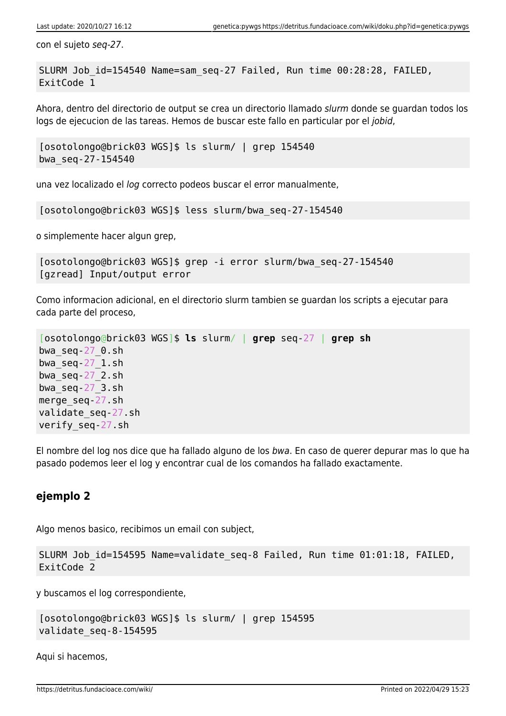con el sujeto seq-27.

SLURM Job\_id=154540 Name=sam\_seq-27 Failed, Run time 00:28:28, FAILED, ExitCode 1

Ahora, dentro del directorio de output se crea un directorio llamado slurm donde se guardan todos los logs de ejecucion de las tareas. Hemos de buscar este fallo en particular por el jobid,

[osotolongo@brick03 WGS]\$ ls slurm/ | grep 154540 bwa\_seq-27-154540

una vez localizado el log correcto podeos buscar el error manualmente,

[osotolongo@brick03 WGS]\$ less slurm/bwa\_seq-27-154540

o simplemente hacer algun grep,

```
[osotolongo@brick03 WGS]$ grep -i error slurm/bwa_seq-27-154540
[gzread] Input/output error
```
Como informacion adicional, en el directorio slurm tambien se guardan los scripts a ejecutar para cada parte del proceso,

```
[osotolongo@brick03 WGS]$ ls slurm/ | grep seq-27 | grep sh
bwa_seq-27_0.sh
bwa_seq-27_1.sh
bwa_seq-27_2.sh
bwa_seq-27_3.sh
merge_seq-27.sh
validate_seq-27.sh
verify_seq-27.sh
```
El nombre del log nos dice que ha fallado alguno de los bwa. En caso de querer depurar mas lo que ha pasado podemos leer el log y encontrar cual de los comandos ha fallado exactamente.

### **ejemplo 2**

Algo menos basico, recibimos un email con subject,

```
SLURM Job id=154595 Name=validate seq-8 Failed, Run time 01:01:18, FAILED,
ExitCode 2
```
y buscamos el log correspondiente,

```
[osotolongo@brick03 WGS]$ ls slurm/ | grep 154595
validate_seq-8-154595
```
Aqui si hacemos,

https://detritus.fundacioace.com/wiki/ Printed on 2022/04/29 15:23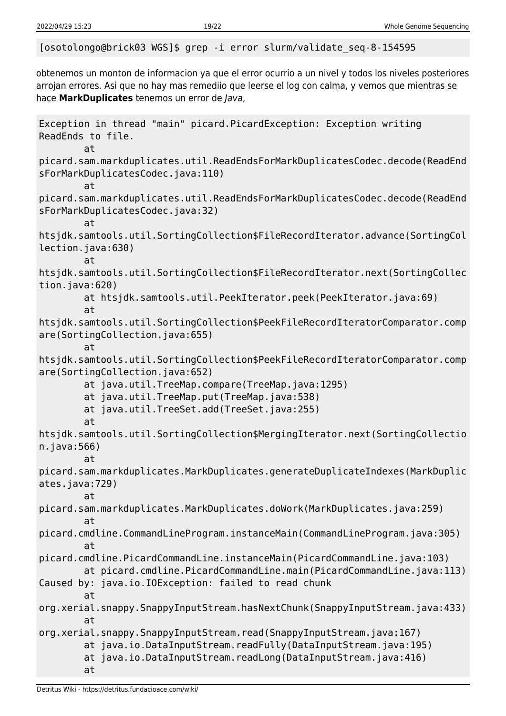[osotolongo@brick03 WGS]\$ grep -i error slurm/validate\_seq-8-154595

obtenemos un monton de informacion ya que el error ocurrio a un nivel y todos los niveles posteriores arrojan errores. Asi que no hay mas remediio que leerse el log con calma, y vemos que mientras se hace **MarkDuplicates** tenemos un error de Java,

Exception in thread "main" picard.PicardException: Exception writing ReadEnds to file. at picard.sam.markduplicates.util.ReadEndsForMarkDuplicatesCodec.decode(ReadEnd sForMarkDuplicatesCodec.java:110) at picard.sam.markduplicates.util.ReadEndsForMarkDuplicatesCodec.decode(ReadEnd sForMarkDuplicatesCodec.java:32) at htsjdk.samtools.util.SortingCollection\$FileRecordIterator.advance(SortingCol lection.java:630) at htsjdk.samtools.util.SortingCollection\$FileRecordIterator.next(SortingCollec tion.java:620) at htsjdk.samtools.util.PeekIterator.peek(PeekIterator.java:69) at htsjdk.samtools.util.SortingCollection\$PeekFileRecordIteratorComparator.comp are(SortingCollection.java:655) at htsjdk.samtools.util.SortingCollection\$PeekFileRecordIteratorComparator.comp are(SortingCollection.java:652) at java.util.TreeMap.compare(TreeMap.java:1295) at java.util.TreeMap.put(TreeMap.java:538) at java.util.TreeSet.add(TreeSet.java:255) at htsjdk.samtools.util.SortingCollection\$MergingIterator.next(SortingCollectio n.java:566) at picard.sam.markduplicates.MarkDuplicates.generateDuplicateIndexes(MarkDuplic ates.java:729) at picard.sam.markduplicates.MarkDuplicates.doWork(MarkDuplicates.java:259) at picard.cmdline.CommandLineProgram.instanceMain(CommandLineProgram.java:305) at picard.cmdline.PicardCommandLine.instanceMain(PicardCommandLine.java:103) at picard.cmdline.PicardCommandLine.main(PicardCommandLine.java:113) Caused by: java.io.IOException: failed to read chunk at org.xerial.snappy.SnappyInputStream.hasNextChunk(SnappyInputStream.java:433) at org.xerial.snappy.SnappyInputStream.read(SnappyInputStream.java:167) at java.io.DataInputStream.readFully(DataInputStream.java:195) at java.io.DataInputStream.readLong(DataInputStream.java:416) at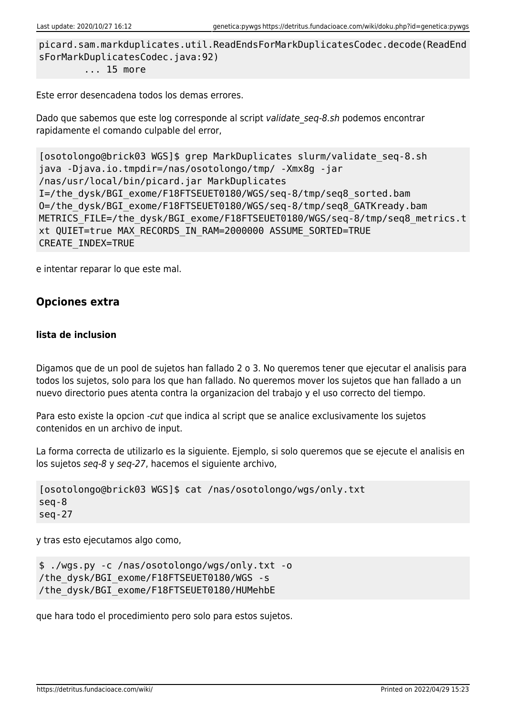```
picard.sam.markduplicates.util.ReadEndsForMarkDuplicatesCodec.decode(ReadEnd
sForMarkDuplicatesCodec.java:92)
         ... 15 more
```
Este error desencadena todos los demas errores.

Dado que sabemos que este log corresponde al script validate seg-8.sh podemos encontrar rapidamente el comando culpable del error,

```
[osotolongo@brick03 WGS]$ grep MarkDuplicates slurm/validate_seq-8.sh
java -Djava.io.tmpdir=/nas/osotolongo/tmp/ -Xmx8g -jar
/nas/usr/local/bin/picard.jar MarkDuplicates
I=/the_dysk/BGI_exome/F18FTSEUET0180/WGS/seq-8/tmp/seq8_sorted.bam
O=/the_dysk/BGI_exome/F18FTSEUET0180/WGS/seq-8/tmp/seq8_GATKready.bam
METRICS FILE=/the dysk/BGI exome/F18FTSEUET0180/WGS/seq-8/tmp/seq8 metrics.t
xt QUIET=true MAX_RECORDS_IN_RAM=2000000 ASSUME_SORTED=TRUE
CREATE_INDEX=TRUE
```
e intentar reparar lo que este mal.

### **Opciones extra**

#### **lista de inclusion**

Digamos que de un pool de sujetos han fallado 2 o 3. No queremos tener que ejecutar el analisis para todos los sujetos, solo para los que han fallado. No queremos mover los sujetos que han fallado a un nuevo directorio pues atenta contra la organizacion del trabajo y el uso correcto del tiempo.

Para esto existe la opcion -cut que indica al script que se analice exclusivamente los sujetos contenidos en un archivo de input.

La forma correcta de utilizarlo es la siguiente. Ejemplo, si solo queremos que se ejecute el analisis en los sujetos seq-8 y seq-27, hacemos el siguiente archivo,

```
[osotolongo@brick03 WGS]$ cat /nas/osotolongo/wgs/only.txt
seq-8
seq-27
```
y tras esto ejecutamos algo como,

```
$ ./wgs.py -c /nas/osotolongo/wgs/only.txt -o
/the_dysk/BGI_exome/F18FTSEUET0180/WGS -s
/the_dysk/BGI_exome/F18FTSEUET0180/HUMehbE
```
que hara todo el procedimiento pero solo para estos sujetos.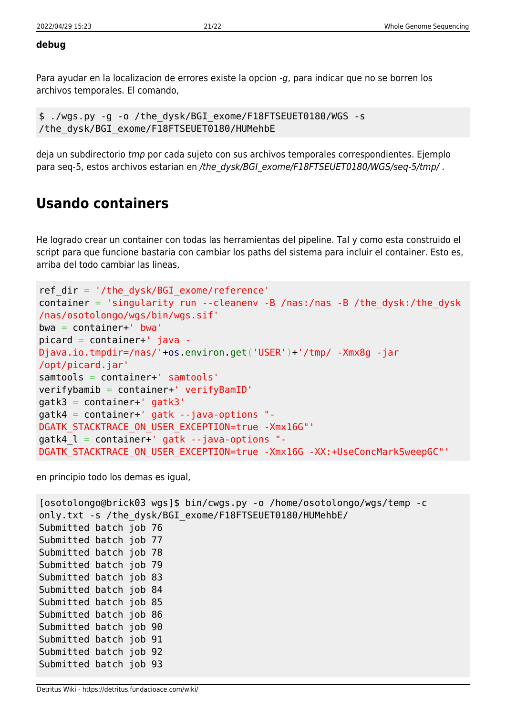#### **debug**

Para ayudar en la localizacion de errores existe la opcion -g, para indicar que no se borren los archivos temporales. El comando,

\$ ./wgs.py -g -o /the\_dysk/BGI\_exome/F18FTSEUET0180/WGS -s /the\_dysk/BGI\_exome/F18FTSEUET0180/HUMehbE

deja un subdirectorio tmp por cada sujeto con sus archivos temporales correspondientes. Ejemplo para seq-5, estos archivos estarian en /the dysk/BGI exome/F18FTSEUET0180/WGS/seq-5/tmp/.

### **Usando containers**

He logrado crear un container con todas las herramientas del pipeline. Tal y como esta construido el script para que funcione bastaria con cambiar los paths del sistema para incluir el container. Esto es, arriba del todo cambiar las lineas,

```
ref_dir = '/the_dysk/BGI_exome/reference'
container = 'singularity run --cleanenv -B /nas:/nas -B /the_dysk:/the_dysk
/nas/osotolongo/wgs/bin/wgs.sif'
bwa = container+' bwa'
picard = container+' java -
Djava.io.tmpdir=/nas/'+os.environ.get('USER')+'/tmp/ -Xmx8g -jar
/opt/picard.jar'
samtools = container+' samtools'
verifybamib = container+' verifyBamID'
gatk3 = container+' gatk3'
gatk4 = container+' gatk --java-options "-
DGATK_STACKTRACE_ON_USER_EXCEPTION=true -Xmx16G"'
gatk4_l = container+' gatk --java-options "-
DGATK STACKTRACE ON USER EXCEPTION=true -Xmx16G -XX:+UseConcMarkSweepGC"'
```
en principio todo los demas es igual,

```
[osotolongo@brick03 wgs]$ bin/cwgs.py -o /home/osotolongo/wgs/temp -c
only.txt -s /the_dysk/BGI_exome/F18FTSEUET0180/HUMehbE/
Submitted batch job 76
Submitted batch job 77
Submitted batch job 78
Submitted batch job 79
Submitted batch job 83
Submitted batch job 84
Submitted batch job 85
Submitted batch job 86
Submitted batch job 90
Submitted batch job 91
Submitted batch job 92
Submitted batch job 93
```